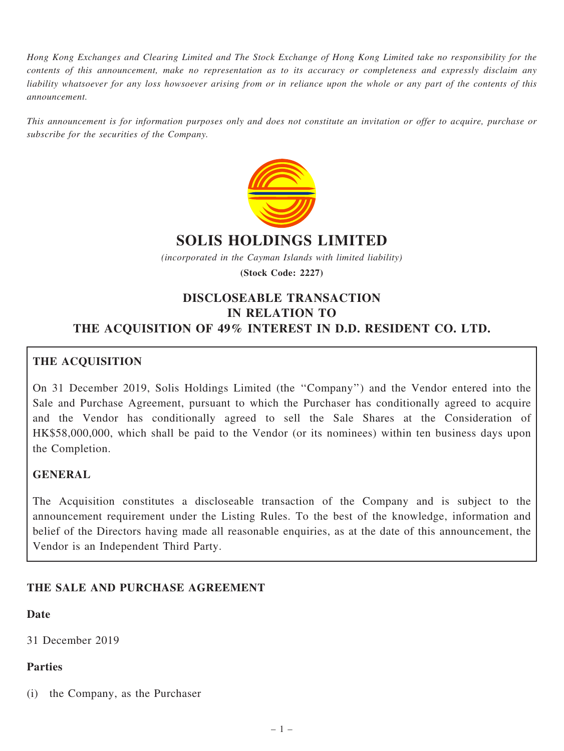Hong Kong Exchanges and Clearing Limited and The Stock Exchange of Hong Kong Limited take no responsibility for the contents of this announcement, make no representation as to its accuracy or completeness and expressly disclaim any liability whatsoever for any loss howsoever arising from or in reliance upon the whole or any part of the contents of this announcement.

This announcement is for information purposes only and does not constitute an invitation or offer to acquire, purchase or subscribe for the securities of the Company.



# SOLIS HOLDINGS LIMITED

(incorporated in the Cayman Islands with limited liability)

(Stock Code: 2227)

# DISCLOSEABLE TRANSACTION IN RELATION TO THE ACQUISITION OF 49% INTEREST IN D.D. RESIDENT CO. LTD.

# THE ACQUISITION

On 31 December 2019, Solis Holdings Limited (the ''Company'') and the Vendor entered into the Sale and Purchase Agreement, pursuant to which the Purchaser has conditionally agreed to acquire and the Vendor has conditionally agreed to sell the Sale Shares at the Consideration of HK\$58,000,000, which shall be paid to the Vendor (or its nominees) within ten business days upon the Completion.

## GENERAL

The Acquisition constitutes a discloseable transaction of the Company and is subject to the announcement requirement under the Listing Rules. To the best of the knowledge, information and belief of the Directors having made all reasonable enquiries, as at the date of this announcement, the Vendor is an Independent Third Party.

## THE SALE AND PURCHASE AGREEMENT

## Date

31 December 2019

## Parties

(i) the Company, as the Purchaser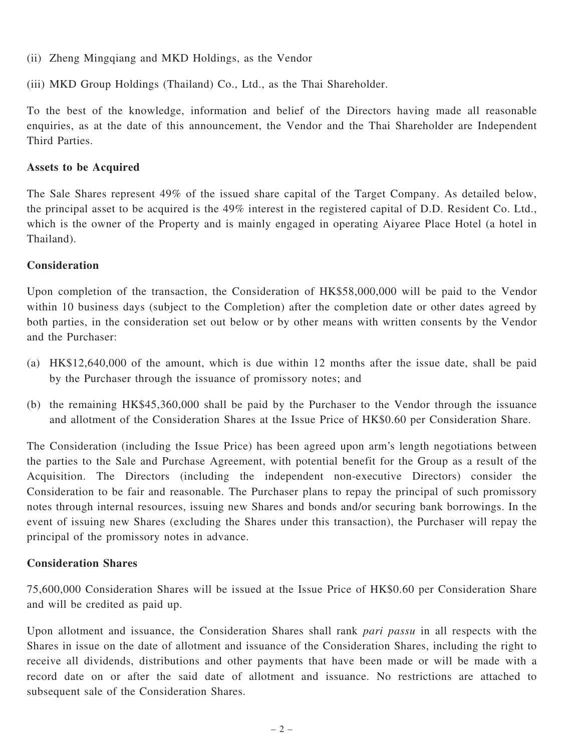(ii) Zheng Mingqiang and MKD Holdings, as the Vendor

(iii) MKD Group Holdings (Thailand) Co., Ltd., as the Thai Shareholder.

To the best of the knowledge, information and belief of the Directors having made all reasonable enquiries, as at the date of this announcement, the Vendor and the Thai Shareholder are Independent Third Parties.

### Assets to be Acquired

The Sale Shares represent 49% of the issued share capital of the Target Company. As detailed below, the principal asset to be acquired is the 49% interest in the registered capital of D.D. Resident Co. Ltd., which is the owner of the Property and is mainly engaged in operating Aiyaree Place Hotel (a hotel in Thailand).

### **Consideration**

Upon completion of the transaction, the Consideration of HK\$58,000,000 will be paid to the Vendor within 10 business days (subject to the Completion) after the completion date or other dates agreed by both parties, in the consideration set out below or by other means with written consents by the Vendor and the Purchaser:

- (a) HK\$12,640,000 of the amount, which is due within 12 months after the issue date, shall be paid by the Purchaser through the issuance of promissory notes; and
- (b) the remaining HK\$45,360,000 shall be paid by the Purchaser to the Vendor through the issuance and allotment of the Consideration Shares at the Issue Price of HK\$0.60 per Consideration Share.

The Consideration (including the Issue Price) has been agreed upon arm's length negotiations between the parties to the Sale and Purchase Agreement, with potential benefit for the Group as a result of the Acquisition. The Directors (including the independent non-executive Directors) consider the Consideration to be fair and reasonable. The Purchaser plans to repay the principal of such promissory notes through internal resources, issuing new Shares and bonds and/or securing bank borrowings. In the event of issuing new Shares (excluding the Shares under this transaction), the Purchaser will repay the principal of the promissory notes in advance.

#### Consideration Shares

75,600,000 Consideration Shares will be issued at the Issue Price of HK\$0.60 per Consideration Share and will be credited as paid up.

Upon allotment and issuance, the Consideration Shares shall rank pari passu in all respects with the Shares in issue on the date of allotment and issuance of the Consideration Shares, including the right to receive all dividends, distributions and other payments that have been made or will be made with a record date on or after the said date of allotment and issuance. No restrictions are attached to subsequent sale of the Consideration Shares.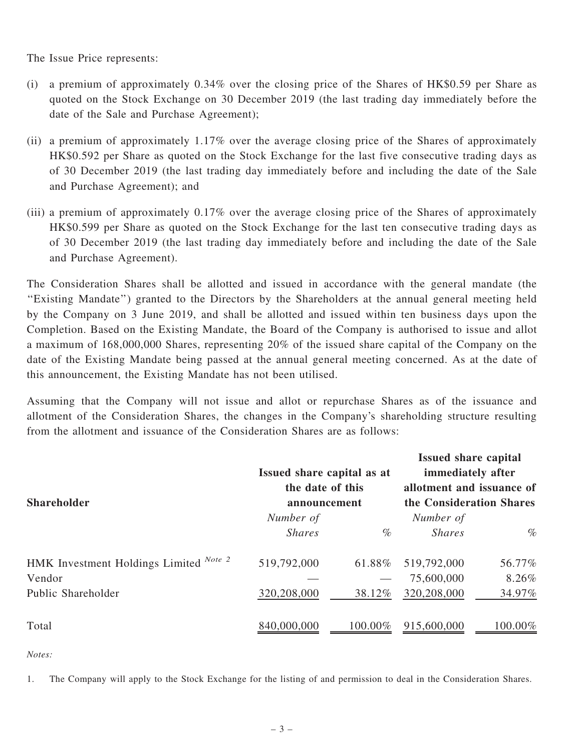The Issue Price represents:

- (i) a premium of approximately 0.34% over the closing price of the Shares of HK\$0.59 per Share as quoted on the Stock Exchange on 30 December 2019 (the last trading day immediately before the date of the Sale and Purchase Agreement);
- (ii) a premium of approximately 1.17% over the average closing price of the Shares of approximately HK\$0.592 per Share as quoted on the Stock Exchange for the last five consecutive trading days as of 30 December 2019 (the last trading day immediately before and including the date of the Sale and Purchase Agreement); and
- (iii) a premium of approximately 0.17% over the average closing price of the Shares of approximately HK\$0.599 per Share as quoted on the Stock Exchange for the last ten consecutive trading days as of 30 December 2019 (the last trading day immediately before and including the date of the Sale and Purchase Agreement).

The Consideration Shares shall be allotted and issued in accordance with the general mandate (the ''Existing Mandate'') granted to the Directors by the Shareholders at the annual general meeting held by the Company on 3 June 2019, and shall be allotted and issued within ten business days upon the Completion. Based on the Existing Mandate, the Board of the Company is authorised to issue and allot a maximum of 168,000,000 Shares, representing 20% of the issued share capital of the Company on the date of the Existing Mandate being passed at the annual general meeting concerned. As at the date of this announcement, the Existing Mandate has not been utilised.

Assuming that the Company will not issue and allot or repurchase Shares as of the issuance and allotment of the Consideration Shares, the changes in the Company's shareholding structure resulting from the allotment and issuance of the Consideration Shares are as follows:

| <b>Shareholder</b>                     | Issued share capital as at<br>the date of this<br>announcement |            | <b>Issued share capital</b><br>immediately after<br>allotment and issuance of<br>the Consideration Shares |         |
|----------------------------------------|----------------------------------------------------------------|------------|-----------------------------------------------------------------------------------------------------------|---------|
|                                        | Number of                                                      |            | Number of                                                                                                 |         |
|                                        | <b>Shares</b>                                                  | $\%$       | <b>Shares</b>                                                                                             | $\%$    |
| HMK Investment Holdings Limited Note 2 | 519,792,000                                                    | 61.88%     | 519,792,000                                                                                               | 56.77%  |
| Vendor                                 |                                                                |            | 75,600,000                                                                                                | 8.26%   |
| Public Shareholder                     | 320,208,000                                                    | 38.12%     | 320,208,000                                                                                               | 34.97%  |
| Total                                  | 840,000,000                                                    | $100.00\%$ | 915,600,000                                                                                               | 100.00% |

Notes:

1. The Company will apply to the Stock Exchange for the listing of and permission to deal in the Consideration Shares.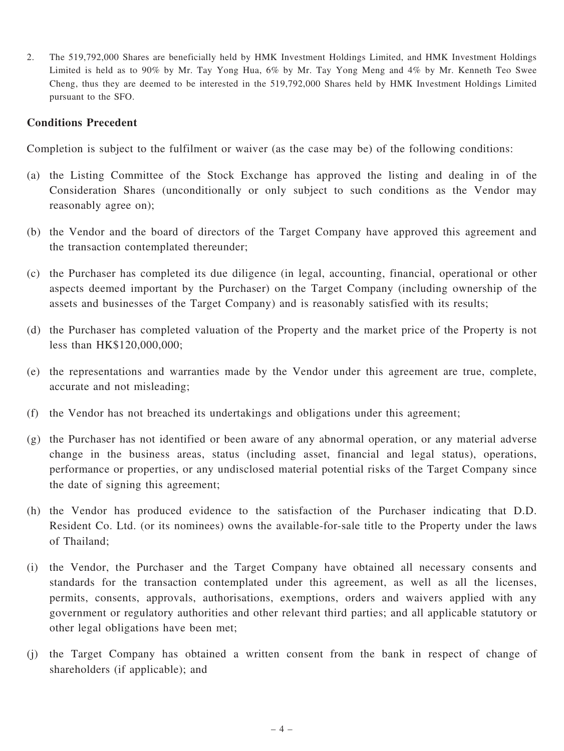2. The 519,792,000 Shares are beneficially held by HMK Investment Holdings Limited, and HMK Investment Holdings Limited is held as to 90% by Mr. Tay Yong Hua, 6% by Mr. Tay Yong Meng and 4% by Mr. Kenneth Teo Swee Cheng, thus they are deemed to be interested in the 519,792,000 Shares held by HMK Investment Holdings Limited pursuant to the SFO.

#### Conditions Precedent

Completion is subject to the fulfilment or waiver (as the case may be) of the following conditions:

- (a) the Listing Committee of the Stock Exchange has approved the listing and dealing in of the Consideration Shares (unconditionally or only subject to such conditions as the Vendor may reasonably agree on);
- (b) the Vendor and the board of directors of the Target Company have approved this agreement and the transaction contemplated thereunder;
- (c) the Purchaser has completed its due diligence (in legal, accounting, financial, operational or other aspects deemed important by the Purchaser) on the Target Company (including ownership of the assets and businesses of the Target Company) and is reasonably satisfied with its results;
- (d) the Purchaser has completed valuation of the Property and the market price of the Property is not less than HK\$120,000,000;
- (e) the representations and warranties made by the Vendor under this agreement are true, complete, accurate and not misleading;
- (f) the Vendor has not breached its undertakings and obligations under this agreement;
- (g) the Purchaser has not identified or been aware of any abnormal operation, or any material adverse change in the business areas, status (including asset, financial and legal status), operations, performance or properties, or any undisclosed material potential risks of the Target Company since the date of signing this agreement;
- (h) the Vendor has produced evidence to the satisfaction of the Purchaser indicating that D.D. Resident Co. Ltd. (or its nominees) owns the available-for-sale title to the Property under the laws of Thailand;
- (i) the Vendor, the Purchaser and the Target Company have obtained all necessary consents and standards for the transaction contemplated under this agreement, as well as all the licenses, permits, consents, approvals, authorisations, exemptions, orders and waivers applied with any government or regulatory authorities and other relevant third parties; and all applicable statutory or other legal obligations have been met;
- (j) the Target Company has obtained a written consent from the bank in respect of change of shareholders (if applicable); and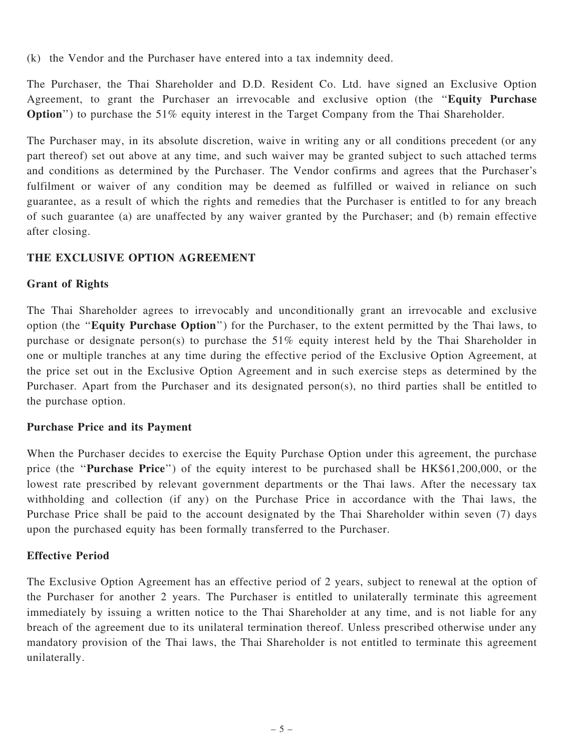(k) the Vendor and the Purchaser have entered into a tax indemnity deed.

The Purchaser, the Thai Shareholder and D.D. Resident Co. Ltd. have signed an Exclusive Option Agreement, to grant the Purchaser an irrevocable and exclusive option (the "Equity Purchase Option'') to purchase the 51% equity interest in the Target Company from the Thai Shareholder.

The Purchaser may, in its absolute discretion, waive in writing any or all conditions precedent (or any part thereof) set out above at any time, and such waiver may be granted subject to such attached terms and conditions as determined by the Purchaser. The Vendor confirms and agrees that the Purchaser's fulfilment or waiver of any condition may be deemed as fulfilled or waived in reliance on such guarantee, as a result of which the rights and remedies that the Purchaser is entitled to for any breach of such guarantee (a) are unaffected by any waiver granted by the Purchaser; and (b) remain effective after closing.

## THE EXCLUSIVE OPTION AGREEMENT

### Grant of Rights

The Thai Shareholder agrees to irrevocably and unconditionally grant an irrevocable and exclusive option (the ''Equity Purchase Option'') for the Purchaser, to the extent permitted by the Thai laws, to purchase or designate person(s) to purchase the 51% equity interest held by the Thai Shareholder in one or multiple tranches at any time during the effective period of the Exclusive Option Agreement, at the price set out in the Exclusive Option Agreement and in such exercise steps as determined by the Purchaser. Apart from the Purchaser and its designated person(s), no third parties shall be entitled to the purchase option.

## Purchase Price and its Payment

When the Purchaser decides to exercise the Equity Purchase Option under this agreement, the purchase price (the "Purchase Price") of the equity interest to be purchased shall be HK\$61,200,000, or the lowest rate prescribed by relevant government departments or the Thai laws. After the necessary tax withholding and collection (if any) on the Purchase Price in accordance with the Thai laws, the Purchase Price shall be paid to the account designated by the Thai Shareholder within seven (7) days upon the purchased equity has been formally transferred to the Purchaser.

#### Effective Period

The Exclusive Option Agreement has an effective period of 2 years, subject to renewal at the option of the Purchaser for another 2 years. The Purchaser is entitled to unilaterally terminate this agreement immediately by issuing a written notice to the Thai Shareholder at any time, and is not liable for any breach of the agreement due to its unilateral termination thereof. Unless prescribed otherwise under any mandatory provision of the Thai laws, the Thai Shareholder is not entitled to terminate this agreement unilaterally.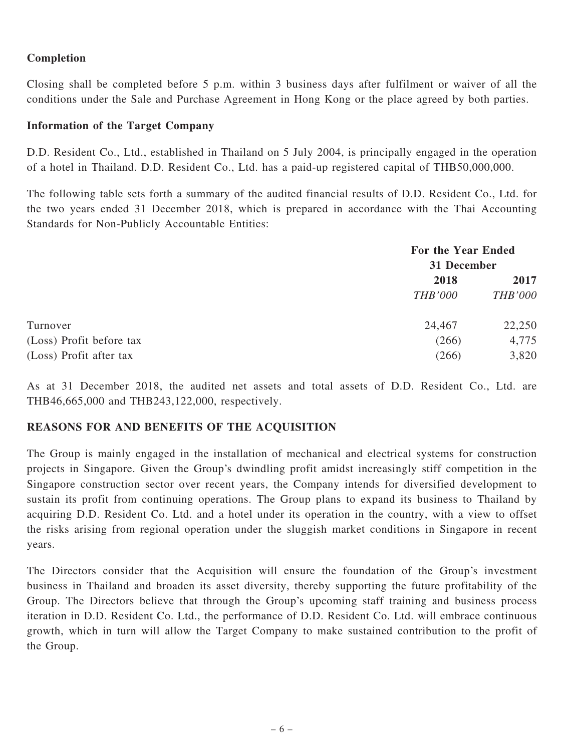### Completion

Closing shall be completed before 5 p.m. within 3 business days after fulfilment or waiver of all the conditions under the Sale and Purchase Agreement in Hong Kong or the place agreed by both parties.

#### Information of the Target Company

D.D. Resident Co., Ltd., established in Thailand on 5 July 2004, is principally engaged in the operation of a hotel in Thailand. D.D. Resident Co., Ltd. has a paid-up registered capital of THB50,000,000.

The following table sets forth a summary of the audited financial results of D.D. Resident Co., Ltd. for the two years ended 31 December 2018, which is prepared in accordance with the Thai Accounting Standards for Non-Publicly Accountable Entities:

|                          | For the Year Ended |                |  |
|--------------------------|--------------------|----------------|--|
|                          | 31 December        |                |  |
|                          | 2018               | 2017           |  |
|                          | <b>THB'000</b>     | <b>THB'000</b> |  |
| Turnover                 | 24,467             | 22,250         |  |
| (Loss) Profit before tax | (266)              | 4,775          |  |
| (Loss) Profit after tax  | (266)              | 3,820          |  |

As at 31 December 2018, the audited net assets and total assets of D.D. Resident Co., Ltd. are THB46,665,000 and THB243,122,000, respectively.

## REASONS FOR AND BENEFITS OF THE ACQUISITION

The Group is mainly engaged in the installation of mechanical and electrical systems for construction projects in Singapore. Given the Group's dwindling profit amidst increasingly stiff competition in the Singapore construction sector over recent years, the Company intends for diversified development to sustain its profit from continuing operations. The Group plans to expand its business to Thailand by acquiring D.D. Resident Co. Ltd. and a hotel under its operation in the country, with a view to offset the risks arising from regional operation under the sluggish market conditions in Singapore in recent years.

The Directors consider that the Acquisition will ensure the foundation of the Group's investment business in Thailand and broaden its asset diversity, thereby supporting the future profitability of the Group. The Directors believe that through the Group's upcoming staff training and business process iteration in D.D. Resident Co. Ltd., the performance of D.D. Resident Co. Ltd. will embrace continuous growth, which in turn will allow the Target Company to make sustained contribution to the profit of the Group.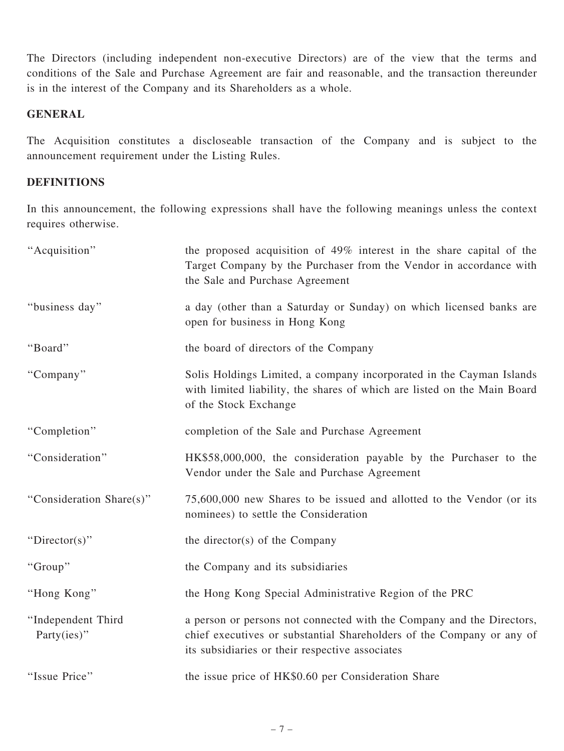The Directors (including independent non-executive Directors) are of the view that the terms and conditions of the Sale and Purchase Agreement are fair and reasonable, and the transaction thereunder is in the interest of the Company and its Shareholders as a whole.

### GENERAL

The Acquisition constitutes a discloseable transaction of the Company and is subject to the announcement requirement under the Listing Rules.

## **DEFINITIONS**

In this announcement, the following expressions shall have the following meanings unless the context requires otherwise.

| "Acquisition"                     | the proposed acquisition of 49% interest in the share capital of the<br>Target Company by the Purchaser from the Vendor in accordance with<br>the Sale and Purchase Agreement                     |
|-----------------------------------|---------------------------------------------------------------------------------------------------------------------------------------------------------------------------------------------------|
| "business day"                    | a day (other than a Saturday or Sunday) on which licensed banks are<br>open for business in Hong Kong                                                                                             |
| "Board"                           | the board of directors of the Company                                                                                                                                                             |
| "Company"                         | Solis Holdings Limited, a company incorporated in the Cayman Islands<br>with limited liability, the shares of which are listed on the Main Board<br>of the Stock Exchange                         |
| "Completion"                      | completion of the Sale and Purchase Agreement                                                                                                                                                     |
| "Consideration"                   | HK\$58,000,000, the consideration payable by the Purchaser to the<br>Vendor under the Sale and Purchase Agreement                                                                                 |
| "Consideration Share(s)"          | 75,600,000 new Shares to be issued and allotted to the Vendor (or its<br>nominees) to settle the Consideration                                                                                    |
| "Director(s)"                     | the director(s) of the Company                                                                                                                                                                    |
| "Group"                           | the Company and its subsidiaries                                                                                                                                                                  |
| "Hong Kong"                       | the Hong Kong Special Administrative Region of the PRC                                                                                                                                            |
| "Independent Third<br>Party(ies)" | a person or persons not connected with the Company and the Directors,<br>chief executives or substantial Shareholders of the Company or any of<br>its subsidiaries or their respective associates |
| "Issue Price"                     | the issue price of HK\$0.60 per Consideration Share                                                                                                                                               |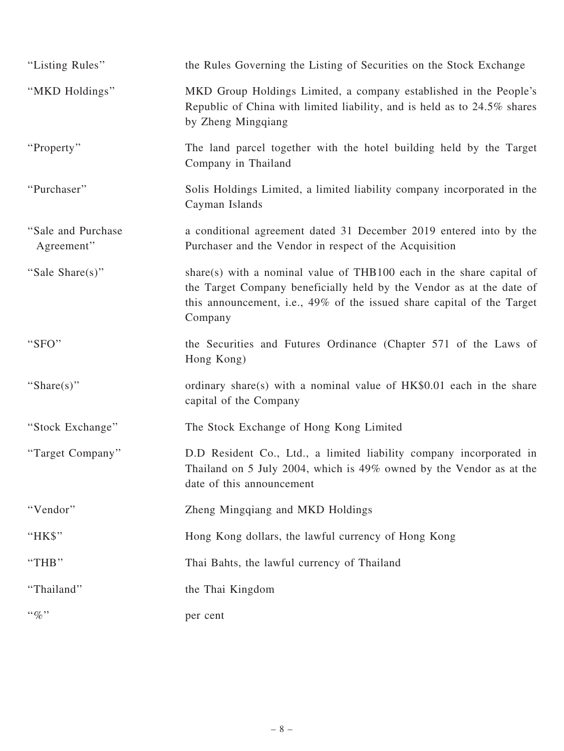| "Listing Rules"                   | the Rules Governing the Listing of Securities on the Stock Exchange                                                                                                                                                               |
|-----------------------------------|-----------------------------------------------------------------------------------------------------------------------------------------------------------------------------------------------------------------------------------|
| "MKD Holdings"                    | MKD Group Holdings Limited, a company established in the People's<br>Republic of China with limited liability, and is held as to 24.5% shares<br>by Zheng Mingqiang                                                               |
| "Property"                        | The land parcel together with the hotel building held by the Target<br>Company in Thailand                                                                                                                                        |
| "Purchaser"                       | Solis Holdings Limited, a limited liability company incorporated in the<br>Cayman Islands                                                                                                                                         |
| "Sale and Purchase"<br>Agreement" | a conditional agreement dated 31 December 2019 entered into by the<br>Purchaser and the Vendor in respect of the Acquisition                                                                                                      |
| "Sale Share(s)"                   | share(s) with a nominal value of THB100 each in the share capital of<br>the Target Company beneficially held by the Vendor as at the date of<br>this announcement, i.e., 49% of the issued share capital of the Target<br>Company |
| "SFO"                             | the Securities and Futures Ordinance (Chapter 571 of the Laws of<br>Hong Kong)                                                                                                                                                    |
| "Share(s)"                        | ordinary share(s) with a nominal value of $HK$0.01$ each in the share<br>capital of the Company                                                                                                                                   |
| "Stock Exchange"                  | The Stock Exchange of Hong Kong Limited                                                                                                                                                                                           |
| "Target Company"                  | D.D Resident Co., Ltd., a limited liability company incorporated in<br>Thailand on 5 July 2004, which is 49% owned by the Vendor as at the<br>date of this announcement                                                           |
| "Vendor"                          | Zheng Mingqiang and MKD Holdings                                                                                                                                                                                                  |
| " $HKS$ "                         | Hong Kong dollars, the lawful currency of Hong Kong                                                                                                                                                                               |
| "THE"                             | Thai Bahts, the lawful currency of Thailand                                                                                                                                                                                       |
| "Thailand"                        | the Thai Kingdom                                                                                                                                                                                                                  |
| $\cdot \cdot \mathcal{A}$         | per cent                                                                                                                                                                                                                          |